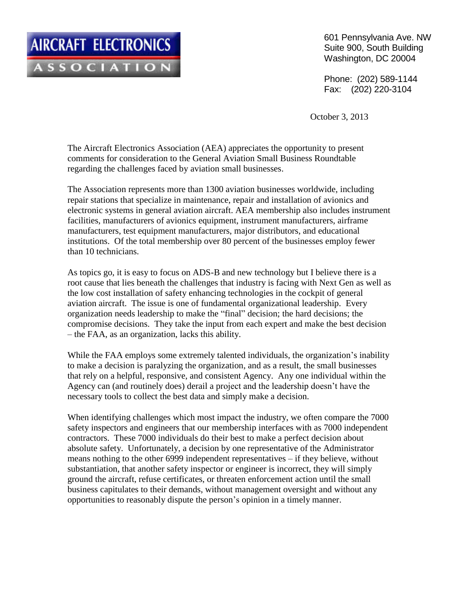601 Pennsylvania Ave. NW Suite 900, South Building Washington, DC 20004

Phone: (202) 589-1144 Fax: (202) 220-3104

October 3, 2013

The Aircraft Electronics Association (AEA) appreciates the opportunity to present comments for consideration to the General Aviation Small Business Roundtable regarding the challenges faced by aviation small businesses.

The Association represents more than 1300 aviation businesses worldwide, including repair stations that specialize in maintenance, repair and installation of avionics and electronic systems in general aviation aircraft. AEA membership also includes instrument facilities, manufacturers of avionics equipment, instrument manufacturers, airframe manufacturers, test equipment manufacturers, major distributors, and educational institutions. Of the total membership over 80 percent of the businesses employ fewer than 10 technicians.

As topics go, it is easy to focus on ADS-B and new technology but I believe there is a root cause that lies beneath the challenges that industry is facing with Next Gen as well as the low cost installation of safety enhancing technologies in the cockpit of general aviation aircraft. The issue is one of fundamental organizational leadership. Every organization needs leadership to make the "final" decision; the hard decisions; the compromise decisions. They take the input from each expert and make the best decision – the FAA, as an organization, lacks this ability.

While the FAA employs some extremely talented individuals, the organization's inability to make a decision is paralyzing the organization, and as a result, the small businesses that rely on a helpful, responsive, and consistent Agency. Any one individual within the Agency can (and routinely does) derail a project and the leadership doesn't have the necessary tools to collect the best data and simply make a decision.

When identifying challenges which most impact the industry, we often compare the 7000 safety inspectors and engineers that our membership interfaces with as 7000 independent contractors. These 7000 individuals do their best to make a perfect decision about absolute safety. Unfortunately, a decision by one representative of the Administrator means nothing to the other 6999 independent representatives – if they believe, without substantiation, that another safety inspector or engineer is incorrect, they will simply ground the aircraft, refuse certificates, or threaten enforcement action until the small business capitulates to their demands, without management oversight and without any opportunities to reasonably dispute the person's opinion in a timely manner.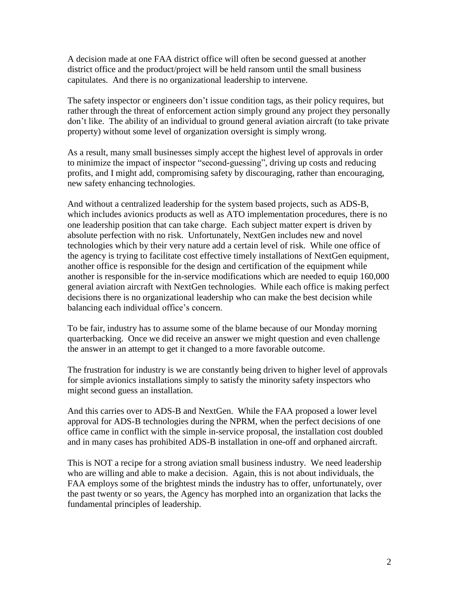A decision made at one FAA district office will often be second guessed at another district office and the product/project will be held ransom until the small business capitulates. And there is no organizational leadership to intervene.

The safety inspector or engineers don't issue condition tags, as their policy requires, but rather through the threat of enforcement action simply ground any project they personally don't like. The ability of an individual to ground general aviation aircraft (to take private property) without some level of organization oversight is simply wrong.

As a result, many small businesses simply accept the highest level of approvals in order to minimize the impact of inspector "second-guessing", driving up costs and reducing profits, and I might add, compromising safety by discouraging, rather than encouraging, new safety enhancing technologies.

And without a centralized leadership for the system based projects, such as ADS-B, which includes avionics products as well as ATO implementation procedures, there is no one leadership position that can take charge. Each subject matter expert is driven by absolute perfection with no risk. Unfortunately, NextGen includes new and novel technologies which by their very nature add a certain level of risk. While one office of the agency is trying to facilitate cost effective timely installations of NextGen equipment, another office is responsible for the design and certification of the equipment while another is responsible for the in-service modifications which are needed to equip 160,000 general aviation aircraft with NextGen technologies. While each office is making perfect decisions there is no organizational leadership who can make the best decision while balancing each individual office's concern.

To be fair, industry has to assume some of the blame because of our Monday morning quarterbacking. Once we did receive an answer we might question and even challenge the answer in an attempt to get it changed to a more favorable outcome.

The frustration for industry is we are constantly being driven to higher level of approvals for simple avionics installations simply to satisfy the minority safety inspectors who might second guess an installation.

And this carries over to ADS-B and NextGen. While the FAA proposed a lower level approval for ADS-B technologies during the NPRM, when the perfect decisions of one office came in conflict with the simple in-service proposal, the installation cost doubled and in many cases has prohibited ADS-B installation in one-off and orphaned aircraft.

This is NOT a recipe for a strong aviation small business industry. We need leadership who are willing and able to make a decision. Again, this is not about individuals, the FAA employs some of the brightest minds the industry has to offer, unfortunately, over the past twenty or so years, the Agency has morphed into an organization that lacks the fundamental principles of leadership.